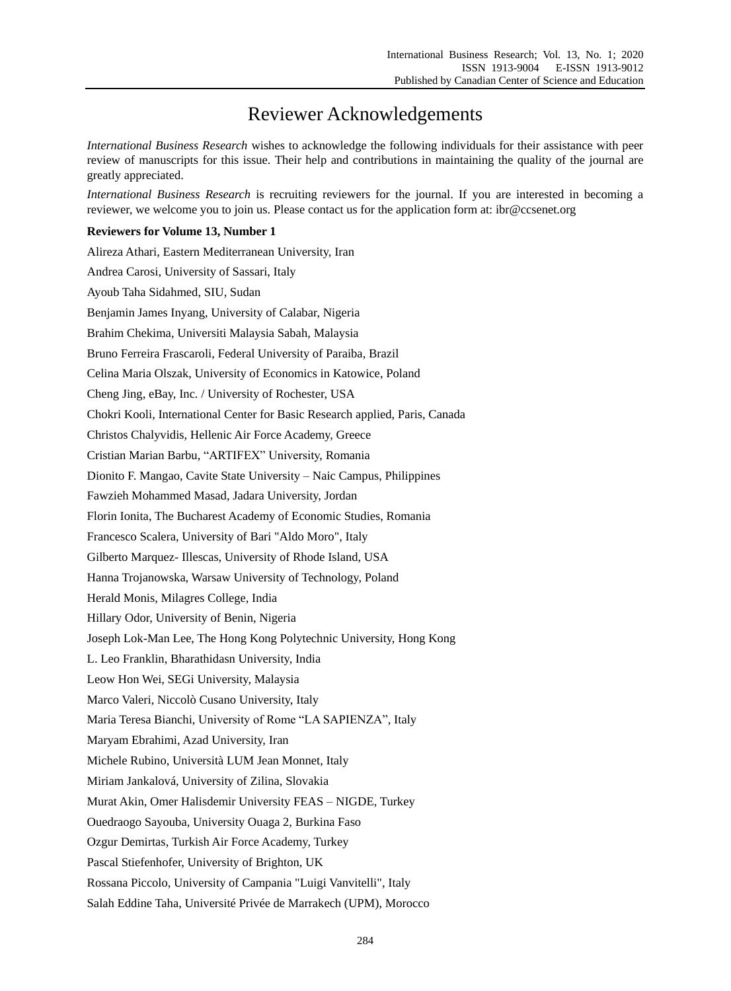## Reviewer Acknowledgements

*International Business Research* wishes to acknowledge the following individuals for their assistance with peer review of manuscripts for this issue. Their help and contributions in maintaining the quality of the journal are greatly appreciated.

*International Business Research* is recruiting reviewers for the journal. If you are interested in becoming a reviewer, we welcome you to join us. Please contact us for the application form at: ibr@ccsenet.org

## **Reviewers for Volume 13, Number 1**

| Alireza Athari, Eastern Mediterranean University, Iran                       |
|------------------------------------------------------------------------------|
| Andrea Carosi, University of Sassari, Italy                                  |
| Ayoub Taha Sidahmed, SIU, Sudan                                              |
| Benjamin James Inyang, University of Calabar, Nigeria                        |
| Brahim Chekima, Universiti Malaysia Sabah, Malaysia                          |
| Bruno Ferreira Frascaroli, Federal University of Paraiba, Brazil             |
| Celina Maria Olszak, University of Economics in Katowice, Poland             |
| Cheng Jing, eBay, Inc. / University of Rochester, USA                        |
| Chokri Kooli, International Center for Basic Research applied, Paris, Canada |
| Christos Chalyvidis, Hellenic Air Force Academy, Greece                      |
| Cristian Marian Barbu, "ARTIFEX" University, Romania                         |
| Dionito F. Mangao, Cavite State University - Naic Campus, Philippines        |
| Fawzieh Mohammed Masad, Jadara University, Jordan                            |
| Florin Ionita, The Bucharest Academy of Economic Studies, Romania            |
| Francesco Scalera, University of Bari "Aldo Moro", Italy                     |
| Gilberto Marquez- Illescas, University of Rhode Island, USA                  |
| Hanna Trojanowska, Warsaw University of Technology, Poland                   |
| Herald Monis, Milagres College, India                                        |
| Hillary Odor, University of Benin, Nigeria                                   |
| Joseph Lok-Man Lee, The Hong Kong Polytechnic University, Hong Kong          |
| L. Leo Franklin, Bharathidasn University, India                              |
| Leow Hon Wei, SEGi University, Malaysia                                      |
| Marco Valeri, Niccol ò Cusano University, Italy                              |
| Maria Teresa Bianchi, University of Rome "LA SAPIENZA", Italy                |
| Maryam Ebrahimi, Azad University, Iran                                       |
| Michele Rubino, Universit à LUM Jean Monnet, Italy                           |
| Miriam Jankalov á University of Zilina, Slovakia                             |
| Murat Akin, Omer Halisdemir University FEAS - NIGDE, Turkey                  |
| Ouedraogo Sayouba, University Ouaga 2, Burkina Faso                          |
| Ozgur Demirtas, Turkish Air Force Academy, Turkey                            |
| Pascal Stiefenhofer, University of Brighton, UK                              |
| Rossana Piccolo, University of Campania "Luigi Vanvitelli", Italy            |
| Salah Eddine Taha, UniversitéPrivée de Marrakech (UPM), Morocco              |